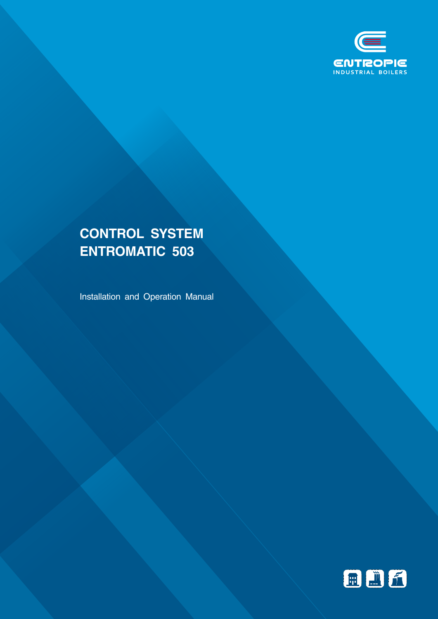

# **CONTROL SYSTEM ENTROMATIC 503**

Installation and Operation Manual

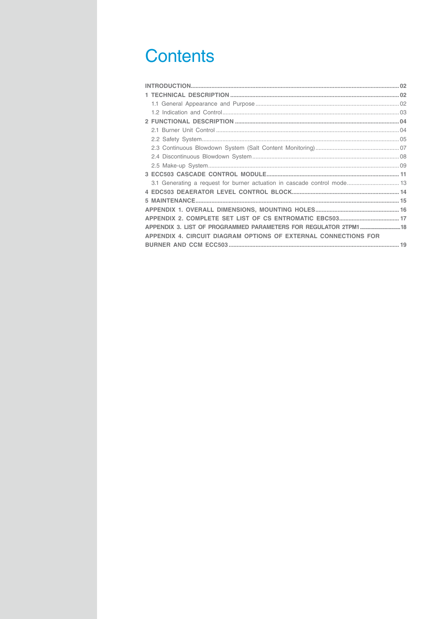# **Contents**

| 3.1 Generating a request for burner actuation in cascade control mode 13 |  |
|--------------------------------------------------------------------------|--|
|                                                                          |  |
|                                                                          |  |
|                                                                          |  |
|                                                                          |  |
| APPENDIX 3. LIST OF PROGRAMMED PARAMETERS FOR REGULATOR 2TPM1 18         |  |
| APPENDIX 4. CIRCUIT DIAGRAM OPTIONS OF EXTERNAL CONNECTIONS FOR          |  |
|                                                                          |  |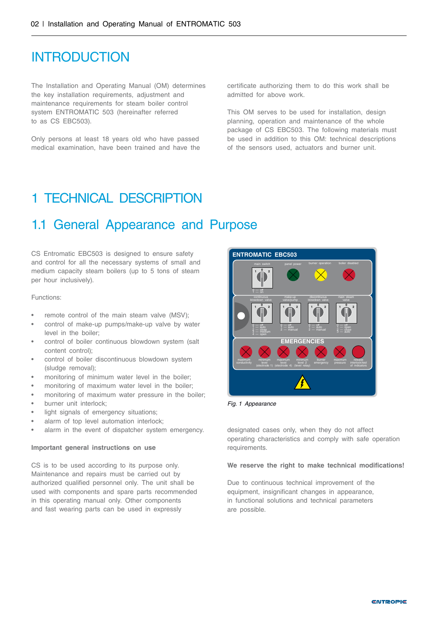### <span id="page-3-0"></span>INTRODUCTION

The Installation and Operating Manual (OM) determines the key installation requirements, adjustment and maintenance requirements for steam boiler control system ENTROMATIC 503 (hereinafter referred to as CS EBC503).

Only persons at least 18 years old who have passed medical examination, have been trained and have the certificate authorizing them to do this work shall be admitted for above work.

This OM serves to be used for installation, design planning, operation and maintenance of the whole package of CS EBC503. The following materials must be used in addition to this OM: technical descriptions of the sensors used, actuators and burner unit.

### 1 TECHNICAL DESCRIPTION

### 1.1 General Appearance and Purpose

CS Entromatic EBC503 is designed to ensure safety and control for all the necessary systems of small and medium capacity steam boilers (up to 5 tons of steam per hour inclusively).

Functions:

- remote control of the main steam valve (MSV);
- control of make-up pumps/make-up valve by water level in the boiler;
- control of boiler continuous blowdown system (salt content control);
- control of boiler discontinuous blowdown system (sludge removal);
- monitoring of minimum water level in the boiler:
- monitoring of maximum water level in the boiler;
- monitoring of maximum water pressure in the boiler;
- burner unit interlock;
- light signals of emergency situations;
- alarm of top level automation interlock:
- alarm in the event of dispatcher system emergency.

#### **Important general instructions on use**

CS is to be used according to its purpose only. Maintenance and repairs must be carried out by authorized qualified personnel only. The unit shall be used with components and spare parts recommended in this operating manual only. Other components and fast wearing parts can be used in expressly



*Fig. 1 Appearance*

designated cases only, when they do not affect operating characteristics and comply with safe operation requirements.

#### **We reserve the right to make technical modifications!**

Due to continuous technical improvement of the equipment, insignificant changes in appearance, in functional solutions and technical parameters are possible.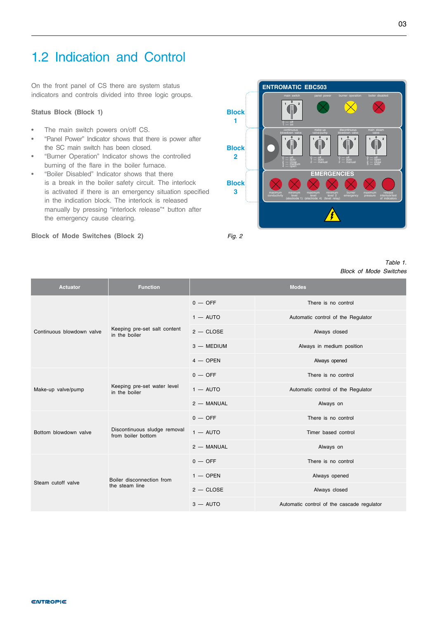## <span id="page-4-0"></span>1.2 Indication and Control

On the front panel of CS there are system status indicators and controls divided into three logic groups.

#### **Status Block (Block 1)**

- The main switch powers on/off CS.
- "Panel Power" Indicator shows that there is power after the SC main switch has been closed.
- "Burner Operation" Indicator shows the controlled burning of the flare in the boiler furnace.
- "Boiler Disabled" Indicator shows that there is a break in the boiler safety circuit. The interlock is activated if there is an emergency situation specified in the indication block. The interlock is released manually by pressing "interlock release"\* button after the emergency cause clearing.

#### **Block of Mode Switches (Block 2)** *Fig. 2*

**ENTROMATIC EBC503 EMERGENCIES** conductivity level (electrode 1) leve (electrode 4) level 2 (level relay) pressure interlock/tes of indicators **<sup>1</sup> <sup>0</sup> <sup>2</sup> <sup>1</sup> <sup>0</sup> <sup>2</sup> <sup>1</sup> <sup>0</sup> <sup>2</sup> <sup>1</sup> <sup>0</sup> <sup>2</sup>**  $0 -$  of  $2 - \cos \theta$ blowdown valve  $0 -$  of make-up  $0 -$  of discontinuous blowdown valve  $0 -$  of  $2 -$  close main steam  $1 \nightharpoonup 2$  $0 - of$ main switch banel power burner operation boiler disabled **Block 1 Block 2 Block 3**

#### *Table 1. Block of Mode Switches*

| <b>Actuator</b>           | <b>Function</b>                                    | <b>Modes</b> |                                            |
|---------------------------|----------------------------------------------------|--------------|--------------------------------------------|
|                           | Keeping pre-set salt content<br>in the boiler      | $0 -$ OFF    | There is no control                        |
|                           |                                                    | $1 -$ AUTO   | Automatic control of the Regulator         |
| Continuous blowdown valve |                                                    | $2 - CLOSE$  | Always closed                              |
|                           |                                                    | 3 - MEDIUM   | Always in medium position                  |
|                           |                                                    | $4 -$ OPEN   | Always opened                              |
|                           | Keeping pre-set water level<br>in the boiler       | $0 -$ OFF    | There is no control                        |
| Make-up valve/pump        |                                                    | $1 -$ AUTO   | Automatic control of the Regulator         |
|                           |                                                    | 2 - MANUAL   | Always on                                  |
|                           | Discontinuous sludge removal<br>from boiler bottom | $0 -$ OFF    | There is no control                        |
| Bottom blowdown valve     |                                                    | $1 -$ AUTO   | Timer based control                        |
|                           |                                                    | 2 - MANUAL   | Always on                                  |
|                           | Boiler disconnection from<br>the steam line        | $0 -$ OFF    | There is no control                        |
| Steam cutoff valve        |                                                    | $1 -$ OPEN   | Always opened                              |
|                           |                                                    | $2 -$ CLOSE  | Always closed                              |
|                           |                                                    | $3 -$ AUTO   | Automatic control of the cascade regulator |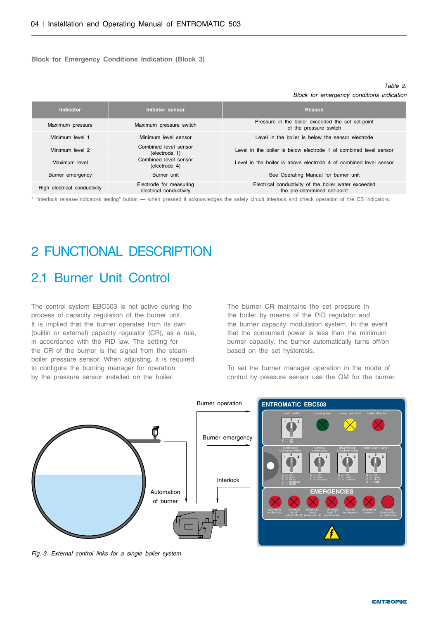<span id="page-5-0"></span>**Block for Emergency Conditions Indication (Block 3)**

#### *Table 2. Block for emergency conditions indication*

| Indicator                                               | Initiator sensor                                   | Reason                                                                               |
|---------------------------------------------------------|----------------------------------------------------|--------------------------------------------------------------------------------------|
| Maximum pressure                                        | Maximum pressure switch                            | Pressure in the boiler exceeded the set set-point<br>of the pressure switch          |
| Minimum level 1                                         | Minimum level sensor                               | Level in the boiler is below the sensor electrode                                    |
| Minimum level 2                                         | Combined level sensor<br>(electrode 1)             | Level in the boiler is below electrode 1 of combined level sensor                    |
| Combined level sensor<br>Maximum level<br>(electrode 4) |                                                    | Level in the boiler is above electrode 4 of combined level sensor                    |
| Burner emergency                                        | Burner unit                                        | See Operating Manual for burner unit                                                 |
| High electrical conductivity                            | Electrode for measuring<br>electrical conductivity | Electrical conductivity of the boiler water exceeded<br>the pre-determined set-point |

\* "Interlock release/Indicators testing" button — when pressed it acknowledges the safety circuit interlock and check operation of the CS indicators.

# 2 FUNCTIONAL DESCRIPTION

### 2.1 Burner Unit Control

The control system EBC503 is not active during the process of capacity regulation of the burner unit. It is implied that the burner operates from its own (builtin or external) capacity regulator (CR), as a rule, in accordance with the PID law. The setting for the CR of the burner is the signal from the steam boiler pressure sensor. When adjusting, it is required to configure the burning manager for operation by the pressure sensor installed on the boiler.

The burner CR maintains the set pressure in the boiler by means of the PID regulator and the burner capacity modulation system. In the event that the consumed power is less than the minimum burner capacity, the burner automatically turns off/on based on the set hysteresis.

To set the burner manager operation in the mode of control by pressure sensor use the OM for the burner.



*Fig. 3. External control links for a single boiler system*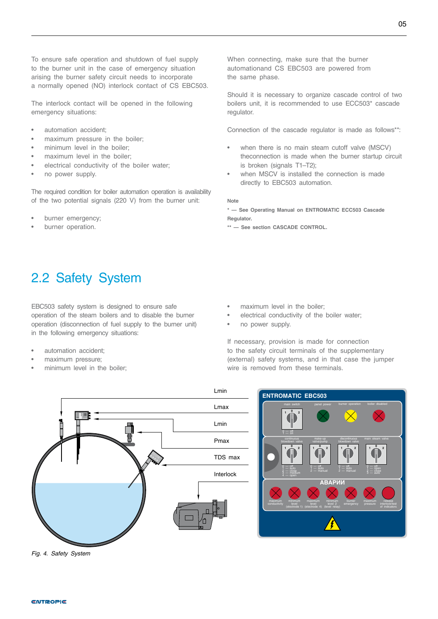<span id="page-6-0"></span>To ensure safe operation and shutdown of fuel supply to the burner unit in the case of emergency situation arising the burner safety circuit needs to incorporate a normally opened (NO) interlock contact of CS EBC503.

The interlock contact will be opened in the following emergency situations:

- automation accident;
- maximum pressure in the boiler;
- minimum level in the boiler;
- maximum level in the boiler;
- electrical conductivity of the boiler water;
- no power supply.

The required condition for boiler automation operation is availability of the two potential signals (220 V) from the burner unit:

- burner emergency;
- burner operation.

When connecting, make sure that the burner automationand CS EBC503 are powered from the same phase.

Should it is necessary to organize cascade control of two boilers unit, it is recommended to use ECC503\* cascade regulator.

Connection of the cascade regulator is made as follows\*\*:

- when there is no main steam cutoff valve (MSCV) theconnection is made when the burner startup circuit is broken (signals T1–T2);
- when MSCV is installed the connection is made directly to EBC503 automation.

**Note**

**\* — See Operating Manual on ENTROMATIC ECC503 Cascade Regulator.**

**\*\* — See section CASCADE CONTROL.**

## 2.2 Safety System

EBC503 safety system is designed to ensure safe operation of the steam boilers and to disable the burner operation (disconnection of fuel supply to the burner unit) in the following emergency situations:

- automation accident;
- maximum pressure;
- minimum level in the boiler:
- maximum level in the boiler;
- electrical conductivity of the boiler water;
- no power supply.

If necessary, provision is made for connection to the safety circuit terminals of the supplementary (external) safety systems, and in that case the jumper wire is removed from these terminals.



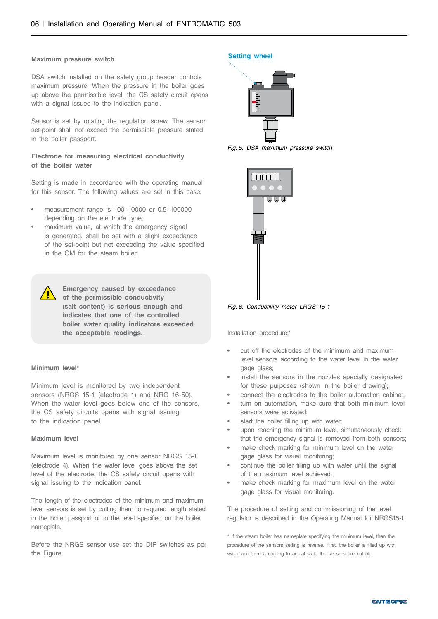#### **Maximum pressure switch**

DSA switch installed on the safety group header controls maximum pressure. When the pressure in the boiler goes up above the permissible level, the CS safety circuit opens with a signal issued to the indication panel.

Sensor is set by rotating the regulation screw. The sensor set-point shall not exceed the permissible pressure stated in the boiler passport.

#### **Electrode for measuring electrical conductivity of the boiler water**

Setting is made in accordance with the operating manual for this sensor. The following values are set in this case:

- measurement range is 100–10000 or 0.5–100000 depending on the electrode type;
- maximum value, at which the emergency signal is generated, shall be set with a slight exceedance of the set-point but not exceeding the value specified in the OM for the steam boiler.

**Emergency caused by exceedance of the permissible conductivity (salt content) is serious enough and indicates that one of the controlled boiler water quality indicators exceeded the acceptable readings.**

#### **Minimum level\***

Minimum level is monitored by two independent sensors (NRGS 15-1 (electrode 1) and NRG 16-50). When the water level goes below one of the sensors, the CS safety circuits opens with signal issuing to the indication panel.

#### **Maximum level**

Maximum level is monitored by one sensor NRGS 15-1 (electrode 4). When the water level goes above the set level of the electrode, the CS safety circuit opens with signal issuing to the indication panel.

The length of the electrodes of the minimum and maximum level sensors is set by cutting them to required length stated in the boiler passport or to the level specified on the boiler nameplate.

Before the NRGS sensor use set the DIP switches as per the Figure.

#### **Setting wheel**



*Fig. 5. DSA maximum pressure switch*



*Fig. 6. Conductivity meter LRGS 15-1*

Installation procedure:\*

- cut off the electrodes of the minimum and maximum level sensors according to the water level in the water gage glass;
- install the sensors in the nozzles specially designated for these purposes (shown in the boiler drawing);
- connect the electrodes to the boiler automation cabinet;
- turn on automation, make sure that both minimum level sensors were activated;
- start the boiler filling up with water:
- upon reaching the minimum level, simultaneously check that the emergency signal is removed from both sensors;
- make check marking for minimum level on the water gage glass for visual monitoring;
- continue the boiler filling up with water until the signal of the maximum level achieved;
- make check marking for maximum level on the water gage glass for visual monitoring.

The procedure of setting and commissioning of the level regulator is described in the Operating Manual for NRGS15-1.

\* If the steam boiler has nameplate specifying the minimum level, then the procedure of the sensors setting is reverse. First, the boiler is filled up with water and then according to actual state the sensors are cut off.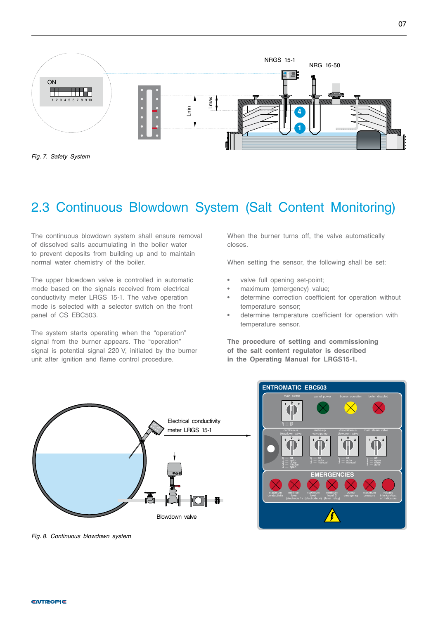<span id="page-8-0"></span>

*Fig. 7. Safety System*

# 2.3 Continuous Blowdown System (Salt Content Monitoring)

The continuous blowdown system shall ensure removal of dissolved salts accumulating in the boiler water to prevent deposits from building up and to maintain normal water chemistry of the boiler.

The upper blowdown valve is controlled in automatic mode based on the signals received from electrical conductivity meter LRGS 15-1. The valve operation mode is selected with a selector switch on the front panel of CS EBC503.

The system starts operating when the "operation" signal from the burner appears. The "operation" signal is potential signal 220 V, initiated by the burner unit after ignition and flame control procedure.

When the burner turns off, the valve automatically closes.

When setting the sensor, the following shall be set:

- valve full opening set-point;
- maximum (emergency) value;
- determine correction coefficient for operation without temperature sensor;
- determine temperature coefficient for operation with temperature sensor.

**The procedure of setting and commissioning of the salt content regulator is described in the Operating Manual for LRGS15-1.**





*Fig. 8. Continuous blowdown system*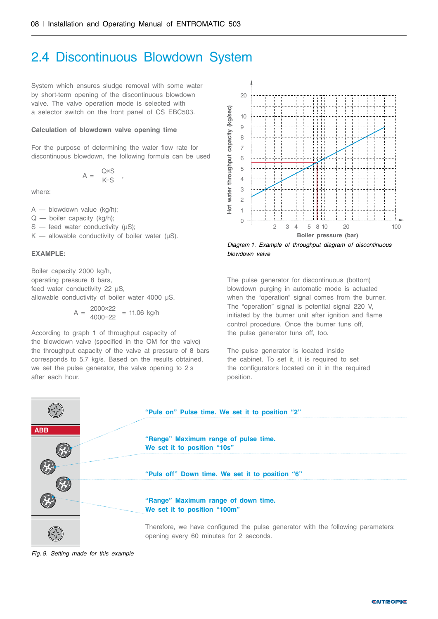### <span id="page-9-0"></span>2.4 Discontinuous Blowdown System

System which ensures sludge removal with some water by short-term opening of the discontinuous blowdown valve. The valve operation mode is selected with a selector switch on the front panel of CS EBC503.

#### **Calculation of blowdown valve opening time**

For the purpose of determining the water flow rate for discontinuous blowdown, the following formula can be used

$$
A = \frac{Q \times S}{K-S} ,
$$

where:

A — blowdown value (kg/h);

Q — boiler capacity (kg/h);

 $S$  — feed water conductivity ( $\mu S$ );

K — allowable conductivity of boiler water  $(\mu S)$ .

#### **EXAMPLE:**

Boiler capacity 2000 kg/h, operating pressure 8 bars, feed water conductivity 22 μS, allowable conductivity of boiler water 4000 μS.

$$
A = \frac{2000 \times 22}{4000 - 22} = 11.06 \text{ kg/h}
$$

According to graph 1 of throughput capacity of the blowdown valve (specified in the OM for the valve) the throughput capacity of the valve at pressure of 8 bars corresponds to 5.7 kg/s. Based on the results obtained, we set the pulse generator, the valve opening to 2 s after each hour.



*Diagram 1. Example of throughput diagram of discontinuous blowdown valve*

The pulse generator for discontinuous (bottom) blowdown purging in automatic mode is actuated when the "operation" signal comes from the burner. The "operation" signal is potential signal 220 V, initiated by the burner unit after ignition and flame control procedure. Once the burner tuns off, the pulse generator tuns off, too.

The pulse generator is located inside the cabinet. To set it, it is required to set the configurators located on it in the required position.

|            | "Puls on" Pulse time. We set it to position "2"                                                                             |  |  |  |
|------------|-----------------------------------------------------------------------------------------------------------------------------|--|--|--|
| <b>ABB</b> | "Range" Maximum range of pulse time.<br>We set it to position "10s"                                                         |  |  |  |
|            | "Puls off" Down time. We set it to position "6"                                                                             |  |  |  |
|            | "Range" Maximum range of down time.<br>We set it to position "100m"                                                         |  |  |  |
|            | Therefore, we have configured the pulse generator with the following parameters:<br>opening every 60 minutes for 2 seconds. |  |  |  |

*Fig. 9. Setting made for this example*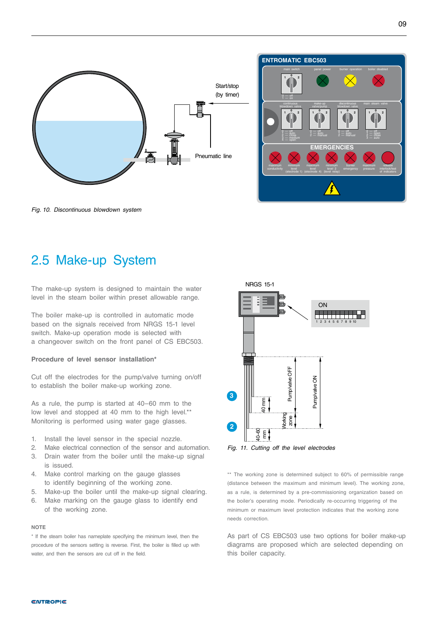<span id="page-10-0"></span>

*Fig. 10. Discontinuous blowdown system*

### 2.5 Make-up System

The make-up system is designed to maintain the water level in the steam boiler within preset allowable range.

The boiler make-up is controlled in automatic mode based on the signals received from NRGS 15-1 level switch. Make-up operation mode is selected with a changeover switch on the front panel of CS EBC503.

#### **Procedure of level sensor installation\***

Cut off the electrodes for the pump/valve turning on/off to establish the boiler make-up working zone.

As a rule, the pump is started at 40–60 mm to the low level and stopped at 40 mm to the high level.\*\* Monitoring is performed using water gage glasses.

- 1. Install the level sensor in the special nozzle.
- 2. Make electrical connection of the sensor and automation. 3. Drain water from the boiler until the make-up signal
- is issued. 4. Make control marking on the gauge glasses
- to identify beginning of the working zone.
- 5. Make-up the boiler until the make-up signal clearing.
- 6. Make marking on the gauge glass to identify end of the working zone.

#### **NOTE**

\* If the steam boiler has nameplate specifying the minimum level, then the procedure of the sensors setting is reverse. First, the boiler is filled up with water, and then the sensors are cut off in the field.



\*\* The working zone is determined subject to 60% of permissible range (distance between the maximum and minimum level). The working zone, as a rule, is determined by a pre-commissioning organization based on the boiler's operating mode. Periodically re-occurring triggering of the minimum or maximum level protection indicates that the working zone needs correction.

As part of CS EBC503 use two options for boiler make-up diagrams are proposed which are selected depending on this boiler capacity.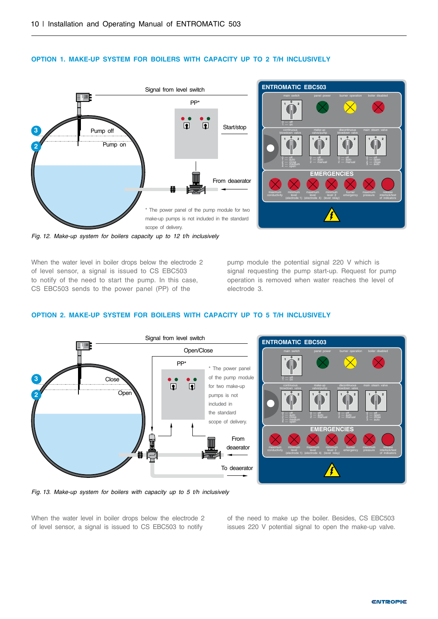

#### **OPTION 1. MAKE-UP SYSTEM FOR BOILERS WITH CAPACITY UP TO 2 T/H INCLUSIVELY**



*Fig. 12. Make-up system for boilers capacity up to 12 t/h inclusively*

When the water level in boiler drops below the electrode 2 of level sensor, a signal is issued to CS EBC503 to notify of the need to start the pump. In this case, CS EBC503 sends to the power panel (PP) of the

pump module the potential signal 220 V which is signal requesting the pump start-up. Request for pump operation is removed when water reaches the level of electrode 3.

#### **OPTION 2. MAKE-UP SYSTEM FOR BOILERS WITH CAPACITY UP TO 5 T/H INCLUSIVELY**



*Fig. 13. Make-up system for boilers with capacity up to 5 t/h inclusively*

When the water level in boiler drops below the electrode 2 of level sensor, a signal is issued to CS EBC503 to notify

of the need to make up the boiler. Besides, CS EBC503 issues 220 V potential signal to open the make-up valve.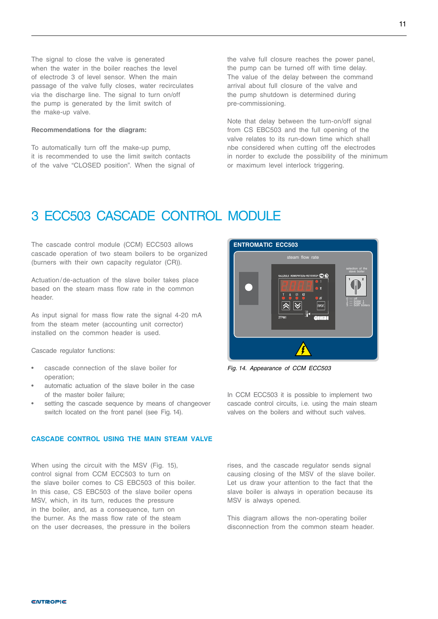<span id="page-12-0"></span>The signal to close the valve is generated when the water in the boiler reaches the level of electrode 3 of level sensor. When the main passage of the valve fully closes, water recirculates via the discharge line. The signal to turn on/off the pump is generated by the limit switch of the make-up valve.

#### **Recommendations for the diagram:**

To automatically turn off the make-up pump, it is recommended to use the limit switch contacts of the valve "CLOSED position". When the signal of the valve full closure reaches the power panel, the pump can be turned off with time delay. The value of the delay between the command arrival about full closure of the valve and the pump shutdown is determined during pre-commissioning.

Note that delay between the turn-on/off signal from CS EBC503 and the full opening of the valve relates to its run-down time which shall nbe considered when cutting off the electrodes in norder to exclude the possibility of the minimum or maximum level interlock triggering.

### 3 ECC503 CASCADE CONTROL MODULE

The cascade control module (CCM) ECC503 allows cascade operation of two steam boilers to be organized (burners with their own capacity regulator (CR)).

Actuation/de-actuation of the slave boiler takes place based on the steam mass flow rate in the common header.

As input signal for mass flow rate the signal 4-20 mA from the steam meter (accounting unit corrector) installed on the common header is used.

Cascade regulator functions:

- cascade connection of the slave boiler for operation;
- automatic actuation of the slave boiler in the case of the master boiler failure;
- setting the cascade sequence by means of changeover switch located on the front panel (see Fig. 14).

#### **CASCADE CONTROL USING THE MAIN STEAM VALVE**

When using the circuit with the MSV (Fig. 15), control signal from CCM ECC503 to turn on the slave boiler comes to CS EBC503 of this boiler. In this case, CS EBC503 of the slave boiler opens MSV, which, in its turn, reduces the pressure in the boiler, and, as a consequence, turn on the burner. As the mass flow rate of the steam on the user decreases, the pressure in the boilers



*Fig. 14. Appearance of CCM ECC503*

In CCM ECC503 it is possible to implement two cascade control circuits, i.e. using the main steam valves on the boilers and without such valves.

rises, and the cascade regulator sends signal causing closing of the MSV of the slave boiler. Let us draw your attention to the fact that the slave boiler is always in operation because its MSV is always opened.

This diagram allows the non-operating boiler disconnection from the common steam header.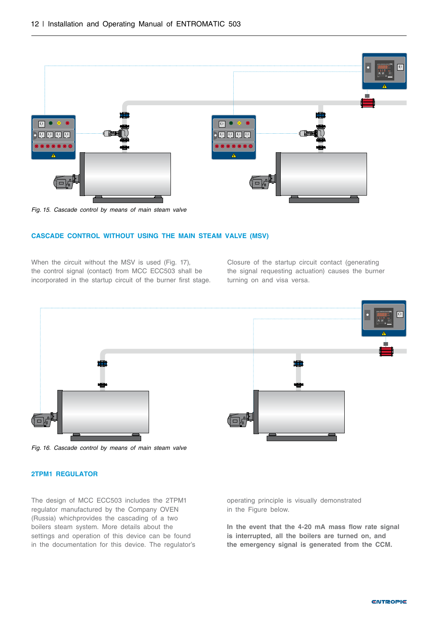

*Fig. 15. Cascade control by means of main steam valve*

#### **CASCADE CONTROL WITHOUT USING THE MAIN STEAM VALVE (MSV)**

When the circuit without the MSV is used (Fig. 17), the control signal (contact) from MCC ECC503 shall be incorporated in the startup circuit of the burner first stage. Closure of the startup circuit contact (generating the signal requesting actuation) causes the burner turning on and visa versa.



*Fig. 16. Cascade control by means of main steam valve*

#### **2TPM1 REGULATOR**

The design of MCC ECC503 includes the 2TPM1 regulator manufactured by the Company OVEN (Russia) whichprovides the cascading of a two boilers steam system. More details about the settings and operation of this device can be found in the documentation for this device. The regulator's operating principle is visually demonstrated in the Figure below.

**In the event that the 4-20 mA mass flow rate signal is interrupted, all the boilers are turned on, and the emergency signal is generated from the CCM.**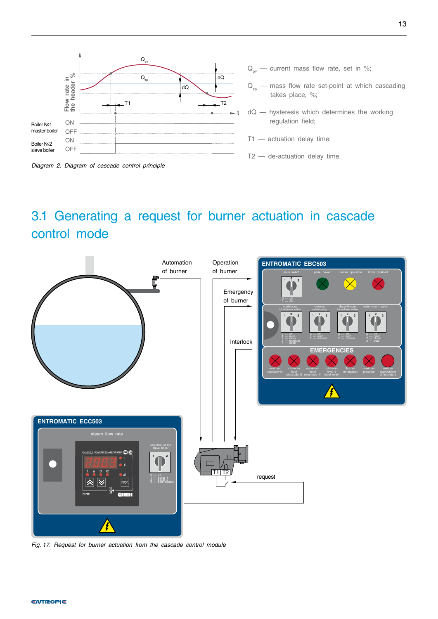<span id="page-14-0"></span>



- $Q_{\text{av}}$  current mass flow rate, set in %;
- $Q_{\rm{so}}$  mass flow rate set-point at which cascading takes place, %;
- dQ hysteresis which determines the working regulation field;
- Т1 actuation delay time;
- Т2 de-actuation delay time.

# 3.1 Generating a request for burner actuation in cascade control mode



*Fig. 17. Request for burner actuation from the cascade control module*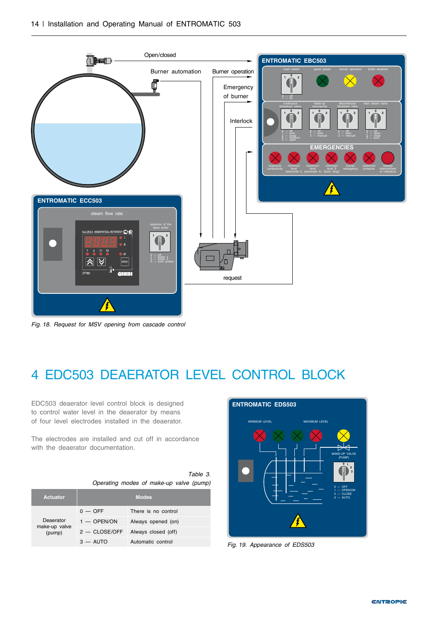<span id="page-15-0"></span>

*Fig. 18. Request for MSV opening from cascade control* 

# 4 EDC503 DEAERATOR LEVEL CONTROL BLOCK

EDC503 deaerator level control block is designed to control water level in the deaerator by means of four level electrodes installed in the deaerator.

The electrodes are installed and cut off in accordance with the deaerator documentation.

> *Table 3. Operating modes of make-up valve (pump)*

| <b>Actuator</b>            | <b>Modes</b>    |                     |  |  |
|----------------------------|-----------------|---------------------|--|--|
|                            | $0 -$ OFF       | There is no control |  |  |
| Deaerator<br>make-up valve | $1 -$ OPEN/ON   | Always opened (on)  |  |  |
| (pump)                     | $2 -$ CLOSE/OFF | Always closed (off) |  |  |
|                            | $3 -$ AUTO      | Automatic control   |  |  |



*Fig. 19. Appearance of EDS503*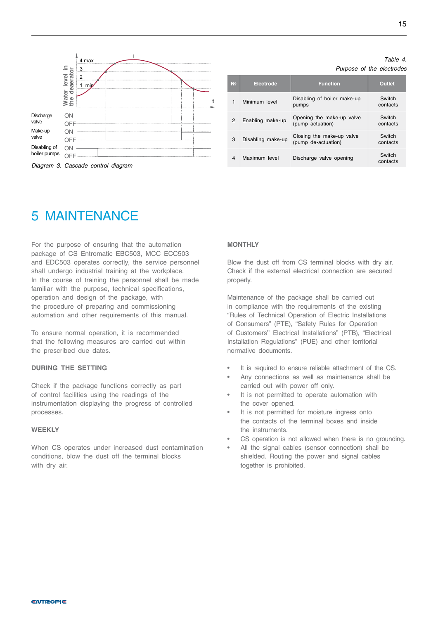*Table 4.*

*Purpose of the electrodes*

<span id="page-16-0"></span>

| N <sub>2</sub> | <b>Electrode</b>  | <b>Function</b>                                  | <b>Outlet</b>      |
|----------------|-------------------|--------------------------------------------------|--------------------|
| 1              | Minimum level     | Disabling of boiler make-up<br>pumps             | Switch<br>contacts |
| $\mathcal{P}$  | Enabling make-up  | Opening the make-up valve<br>(pump actuation)    | Switch<br>contacts |
| 3              | Disabling make-up | Closing the make-up valve<br>(pump de-actuation) | Switch<br>contacts |
| 4              | Maximum level     | Discharge valve opening                          | Switch<br>contacts |

### 5 MAINTENANCE

For the purpose of ensuring that the automation package of CS Entromatic EBC503, MCC ECC503 and EDC503 operates correctly, the service personnel shall undergo industrial training at the workplace. In the course of training the personnel shall be made familiar with the purpose, technical specifications, operation and design of the package, with the procedure of preparing and commissioning automation and other requirements of this manual.

To ensure normal operation, it is recommended that the following measures are carried out within the prescribed due dates.

#### **DURING THE SETTING**

Check if the package functions correctly as part of control facilities using the readings of the instrumentation displaying the progress of controlled processes.

#### **WEEKLY**

When CS operates under increased dust contamination conditions, blow the dust off the terminal blocks with dry air.

#### **MONTHLY**

Blow the dust off from CS terminal blocks with dry air. Check if the external electrical connection are secured properly.

Maintenance of the package shall be carried out in compliance with the requirements of the existing "Rules of Technical Operation of Electric Installations of Consumers" (PTE), "Safety Rules for Operation of Customers'' Electrical Installations" (PTB), "Electrical Installation Regulations" (PUE) and other territorial normative documents.

- It is required to ensure reliable attachment of the CS.
- Any connections as well as maintenance shall be carried out with power off only.
- It is not permitted to operate automation with the cover opened.
- It is not permitted for moisture ingress onto the contacts of the terminal boxes and inside the instruments.
- CS operation is not allowed when there is no grounding.
- All the signal cables (sensor connection) shall be shielded. Routing the power and signal cables together is prohibited.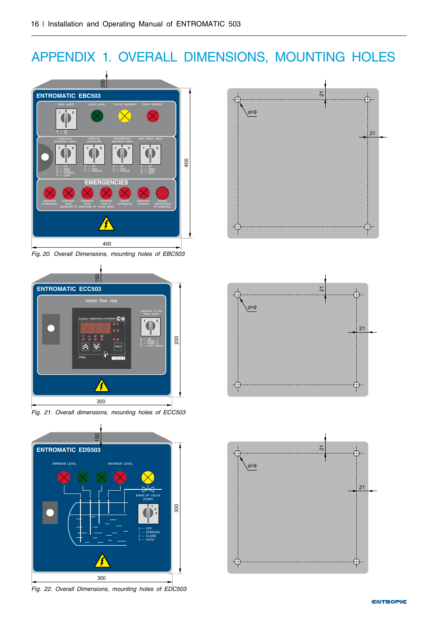# <span id="page-17-0"></span>APPENDIX 1. OVERALL DIMENSIONS, MOUNTING HOLES



*Fig. 20. Overall Dimensions, mounting holes of EBC503*





*Fig. 22. Overall Dimensions, mounting holes of EDC503*





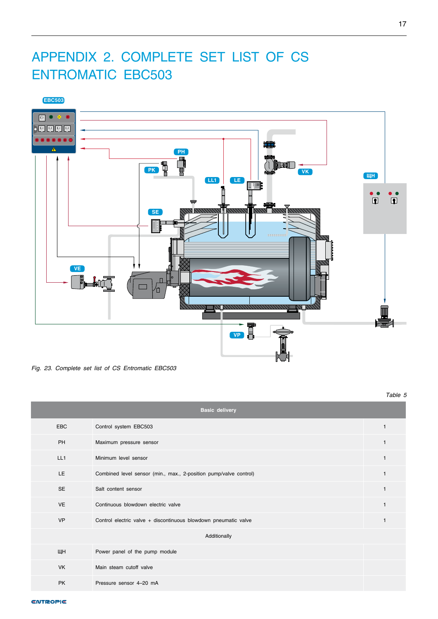# <span id="page-18-0"></span>APPENDIX 2. COMPLETE SET LIST OF CS ENTROMATIC EBC503



*Fig. 23. Complete set list of CS Entromatic EBC503*

*Table 5*

| <b>Basic delivery</b> |                                                                   |              |  |  |
|-----------------------|-------------------------------------------------------------------|--------------|--|--|
| <b>EBC</b>            | Control system EBC503                                             | 1            |  |  |
| PH                    | Maximum pressure sensor                                           | $\mathbf{1}$ |  |  |
| LL1                   | Minimum level sensor                                              | $\mathbf{1}$ |  |  |
| <b>LE</b>             | Combined level sensor (min., max., 2-position pump/valve control) | $\mathbf{1}$ |  |  |
| <b>SE</b>             | Salt content sensor                                               | $\mathbf{1}$ |  |  |
| <b>VE</b>             | Continuous blowdown electric valve                                | $\mathbf{1}$ |  |  |
| <b>VP</b>             | Control electric valve + discontinuous blowdown pneumatic valve   |              |  |  |
| Additionally          |                                                                   |              |  |  |
| ЩН                    | Power panel of the pump module                                    |              |  |  |
| <b>VK</b>             | Main steam cutoff valve                                           |              |  |  |
| <b>PK</b>             | Pressure sensor 4-20 mA                                           |              |  |  |

**ENTROPIE**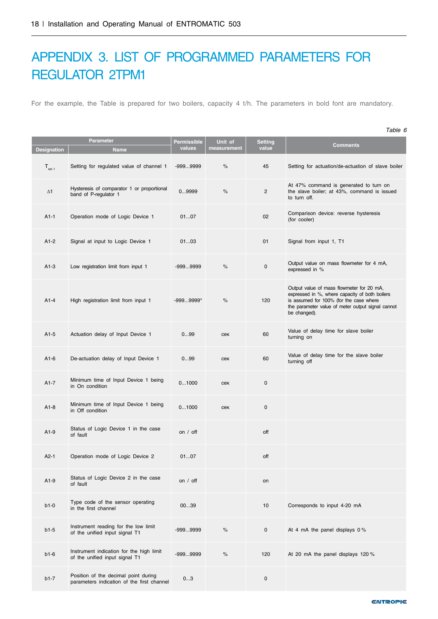# <span id="page-19-0"></span>APPENDIX 3. LIST OF PROGRAMMED PARAMETERS FOR REGULATOR 2ТРМ1

For the example, the Table is prepared for two boilers, capacity 4 t/h. The parameters in bold font are mandatory.

|                    |                                                                                    |                       |                        |                  | Table 6                                                                                                                                                                                                     |
|--------------------|------------------------------------------------------------------------------------|-----------------------|------------------------|------------------|-------------------------------------------------------------------------------------------------------------------------------------------------------------------------------------------------------------|
|                    | <b>Parameter</b>                                                                   | Permissible<br>values | Unit of<br>measurement | Setting<br>value | <b>Comments</b>                                                                                                                                                                                             |
| <b>Designation</b> | <b>Name</b>                                                                        |                       |                        |                  |                                                                                                                                                                                                             |
| $T_{\rm set.1}$    | Setting for regulated value of channel 1                                           | $-9999999$            | $\%$                   | 45               | Setting for actuation/de-actuation of slave boiler                                                                                                                                                          |
| $\Delta$ 1         | Hysteresis of comparator 1 or proportional<br>band of P-regulator 1                | 09999                 | $\%$                   | $\overline{c}$   | At 47% command is generated to turn on<br>the slave boiler; at 43%, command is issued<br>to turn off.                                                                                                       |
| $A1-1$             | Operation mode of Logic Device 1                                                   | 0107                  |                        | 02               | Comparison device: reverse hysteresis<br>(for cooler)                                                                                                                                                       |
| $A1-2$             | Signal at input to Logic Device 1                                                  | 0103                  |                        | 01               | Signal from input 1, T1                                                                                                                                                                                     |
| $A1-3$             | Low registration limit from input 1                                                | $-9999999$            | %                      | 0                | Output value on mass flowmeter for 4 mA,<br>expressed in %                                                                                                                                                  |
| $A1-4$             | High registration limit from input 1                                               | $-9999999*$           | %                      | 120              | Output value of mass flowmeter for 20 mA,<br>expressed in %, where capacity of both boilers<br>is assumed for 100% (for the case where<br>the parameter value of meter output signal cannot<br>be changed). |
| $A1-5$             | Actuation delay of Input Device 1                                                  | 099                   | cek                    | 60               | Value of delay time for slave boiler<br>turning on                                                                                                                                                          |
| $A1-6$             | De-actuation delay of Input Device 1                                               | 099                   | cek                    | 60               | Value of delay time for the slave boiler<br>turning off                                                                                                                                                     |
| $A1-7$             | Minimum time of Input Device 1 being<br>in On condition                            | 01000                 | cek                    | $\mathsf 0$      |                                                                                                                                                                                                             |
| $A1-8$             | Minimum time of Input Device 1 being<br>in Off condition                           | 01000                 | cex                    | 0                |                                                                                                                                                                                                             |
| $A1-9$             | Status of Logic Device 1 in the case<br>of fault                                   | on / off              |                        | off              |                                                                                                                                                                                                             |
| A2-1               | Operation mode of Logic Device 2                                                   | 0107                  |                        | off              |                                                                                                                                                                                                             |
| $A1-9$             | Status of Logic Device 2 in the case<br>of fault                                   | on / off              |                        | on               |                                                                                                                                                                                                             |
| $b1-0$             | Type code of the sensor operating<br>in the first channel                          | 0039                  |                        | 10               | Corresponds to input 4-20 mA                                                                                                                                                                                |
| $b1-5$             | Instrument reading for the low limit<br>of the unified input signal T1             | $-9999999$            | $\%$                   | $\pmb{0}$        | At 4 mA the panel displays 0%                                                                                                                                                                               |
| $b1-6$             | Instrument indication for the high limit<br>of the unified input signal T1         | $-9999999$            | $\%$                   | 120              | At 20 mA the panel displays 120 %                                                                                                                                                                           |
| $b1-7$             | Position of the decimal point during<br>parameters indication of the first channel | 03                    |                        | $\pmb{0}$        |                                                                                                                                                                                                             |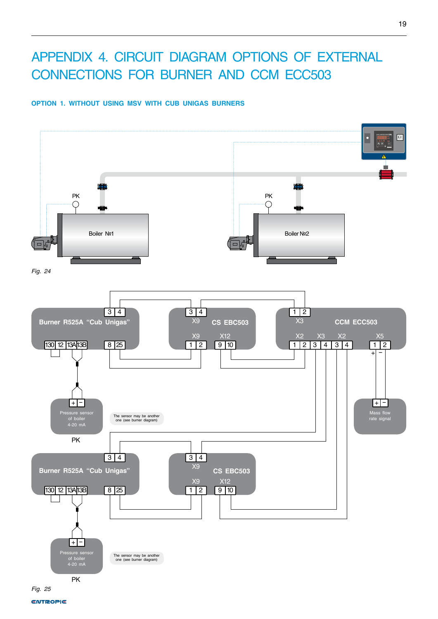# <span id="page-20-0"></span>APPENDIX 4. CIRCUIT DIAGRAM OPTIONS OF EXTERNAL CONNECTIONS FOR BURNER AND CCM ECC503

### **OPTION 1. WITHOUT USING MSV WITH CUB UNIGAS BURNERS**



**ENTROPIE**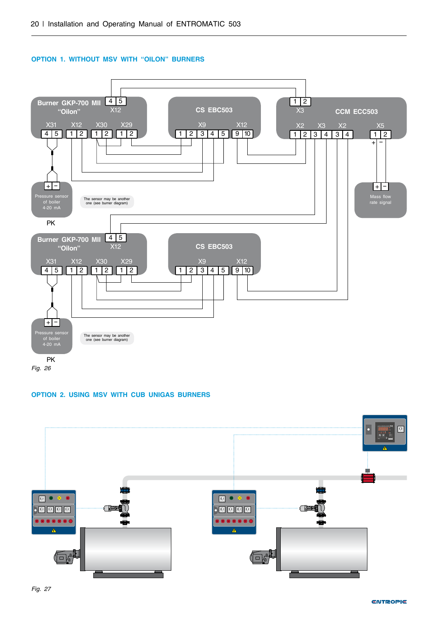



#### **OPTION 2. USING MSV WITH CUB UNIGAS BURNERS**

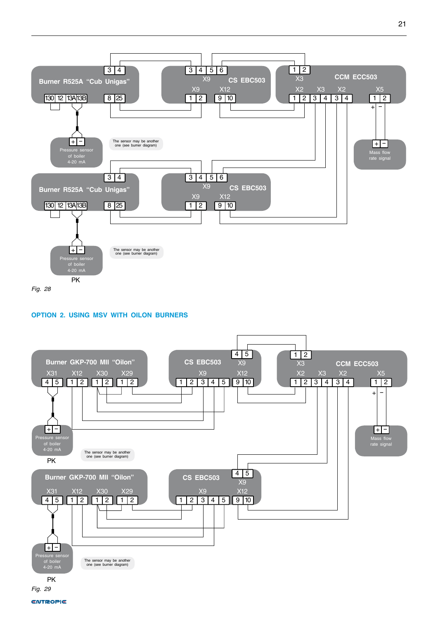

#### **OPTION 2. USING MSV WITH OILON BURNERS**



**ENTROPIE**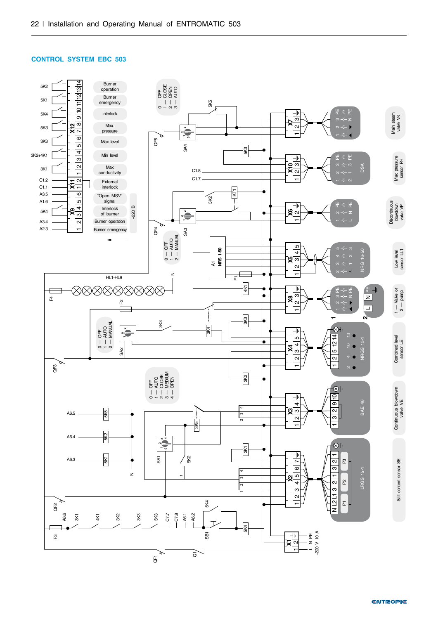#### **CONTROL SYSTEM EBC 503**

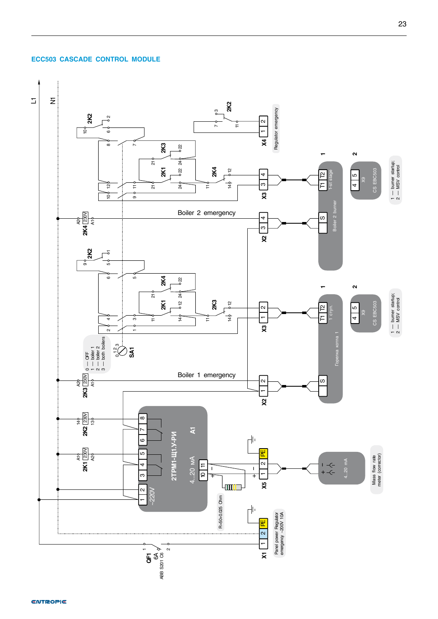#### **ECC503 CASCADE CONTROL MODULE**

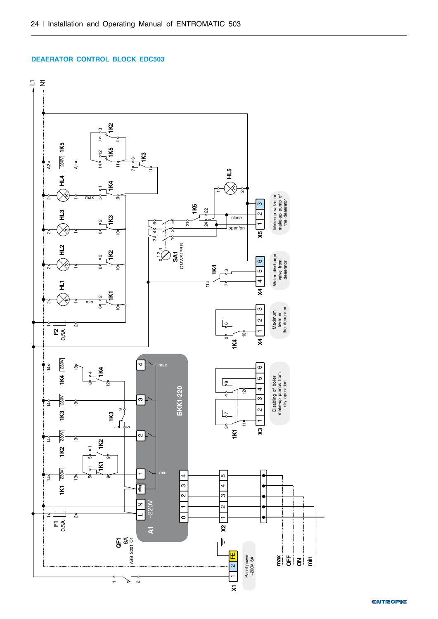#### **DEAERATOR CONTROL BLOCK EDC503**



**ENTROPIE**